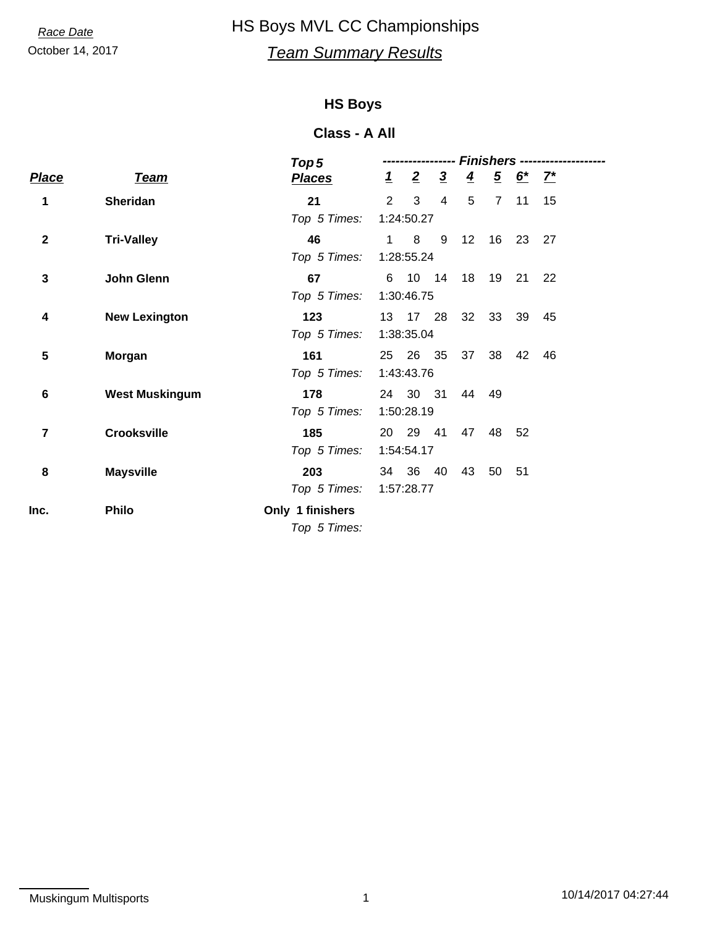# October 14, 2017 *Team Summary Results Race Date* HS Boys MVL CC Championships

### **HS Boys**

| <b>Team</b>           | <b>Places</b>    |                                                       | $\overline{2}$               | $\overline{3}$                            | $\overline{4}$                                                                                                                                                 |                |                               |              |                                               |
|-----------------------|------------------|-------------------------------------------------------|------------------------------|-------------------------------------------|----------------------------------------------------------------------------------------------------------------------------------------------------------------|----------------|-------------------------------|--------------|-----------------------------------------------|
| <b>Sheridan</b>       | 21               |                                                       | 3                            | 4                                         | 5                                                                                                                                                              | $\overline{7}$ | 11                            | 15           |                                               |
|                       | Top 5 Times:     |                                                       |                              |                                           |                                                                                                                                                                |                |                               |              |                                               |
| <b>Tri-Valley</b>     | 46               |                                                       | 8                            | 9                                         | 12                                                                                                                                                             | 16             | 23                            | 27           |                                               |
|                       | Top 5 Times:     |                                                       |                              |                                           |                                                                                                                                                                |                |                               |              |                                               |
| John Glenn            | 67               |                                                       |                              |                                           |                                                                                                                                                                | 19             | 21                            | 22           |                                               |
|                       | Top 5 Times:     |                                                       |                              |                                           |                                                                                                                                                                |                |                               |              |                                               |
| <b>New Lexington</b>  | 123              |                                                       |                              |                                           |                                                                                                                                                                | 33             | 39                            | 45           |                                               |
|                       |                  |                                                       |                              |                                           |                                                                                                                                                                |                |                               |              |                                               |
| Morgan                | 161              | 25                                                    |                              |                                           |                                                                                                                                                                | 38             | 42                            | 46           |                                               |
|                       | Top 5 Times:     |                                                       |                              |                                           |                                                                                                                                                                |                |                               |              |                                               |
| <b>West Muskingum</b> | 178              |                                                       |                              |                                           |                                                                                                                                                                |                |                               |              |                                               |
|                       |                  |                                                       |                              |                                           |                                                                                                                                                                |                |                               |              |                                               |
| <b>Crooksville</b>    | 185              |                                                       |                              |                                           |                                                                                                                                                                | 48             | 52                            |              |                                               |
|                       |                  |                                                       |                              |                                           |                                                                                                                                                                |                |                               |              |                                               |
| <b>Maysville</b>      | 203              |                                                       |                              |                                           | 43                                                                                                                                                             | 50             | 51                            |              |                                               |
|                       |                  |                                                       |                              |                                           |                                                                                                                                                                |                |                               |              |                                               |
| <b>Philo</b>          | Only 1 finishers |                                                       |                              |                                           |                                                                                                                                                                |                |                               |              |                                               |
|                       |                  |                                                       |                              |                                           |                                                                                                                                                                |                |                               |              |                                               |
|                       |                  | Top 5<br>Top 5 Times:<br>Top 5 Times:<br>Top 5 Times: | Top 5 Times:<br>Top 5 Times: | $\mathbf{1}$<br>$2^{\circ}$<br>1<br>34 36 | 1:24:50.27<br>1:28:55.24<br>6 10 14<br>1:30:46.75<br>13 17 28<br>1:38:35.04<br>26 35<br>1:43:43.76<br>1:50:28.19<br>20 29 41<br>1:54:54.17<br>40<br>1:57:28.77 | 24 30 31       | 18<br>32<br>37<br>44 49<br>47 | Finishers -- | $\frac{5}{2} \frac{6^{*}}{2} \frac{7^{*}}{2}$ |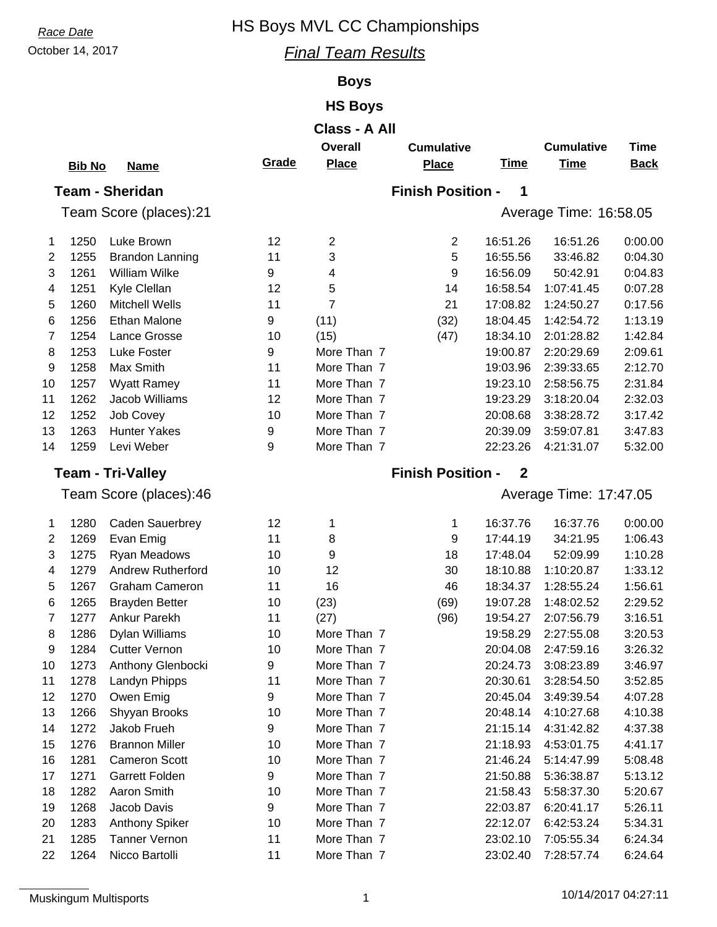# *Race Date* HS Boys MVL CC Championships

## October 14, 2017 *Final Team Results*

## **Boys**

## **HS Boys**

|                        | <b>Bib No</b> | <b>Name</b>              | Grade          | <b>Overall</b><br><b>Place</b> | <b>Cumulative</b><br><b>Place</b> | <b>Time</b>  | <b>Cumulative</b><br><b>Time</b> | <b>Time</b><br><b>Back</b> |  |
|------------------------|---------------|--------------------------|----------------|--------------------------------|-----------------------------------|--------------|----------------------------------|----------------------------|--|
|                        |               | <b>Team - Sheridan</b>   |                |                                | <b>Finish Position -</b>          | 1            |                                  |                            |  |
| Team Score (places):21 |               |                          |                |                                |                                   |              | Average Time: 16:58.05           |                            |  |
| 1                      | 1250          | Luke Brown               | 12             | $\overline{2}$                 | 2                                 | 16:51.26     | 16:51.26                         | 0:00.00                    |  |
| 2                      | 1255          | <b>Brandon Lanning</b>   | 11             | 3                              | 5                                 | 16:55.56     | 33:46.82                         | 0:04.30                    |  |
| 3                      | 1261          | William Wilke            | 9              | 4                              | 9                                 | 16:56.09     | 50:42.91                         | 0:04.83                    |  |
| 4                      | 1251          | Kyle Clellan             | 12             | 5                              | 14                                | 16:58.54     | 1:07:41.45                       | 0:07.28                    |  |
| 5                      | 1260          | <b>Mitchell Wells</b>    | 11             | 7                              | 21                                | 17:08.82     | 1:24:50.27                       | 0:17.56                    |  |
| 6                      | 1256          | <b>Ethan Malone</b>      | 9              | (11)                           | (32)                              | 18:04.45     | 1:42:54.72                       | 1:13.19                    |  |
| 7                      | 1254          | Lance Grosse             | 10             | (15)                           | (47)                              | 18:34.10     | 2:01:28.82                       | 1:42.84                    |  |
| 8                      | 1253          | Luke Foster              | 9              | More Than 7                    |                                   | 19:00.87     | 2:20:29.69                       | 2:09.61                    |  |
| 9                      | 1258          | Max Smith                | 11             | More Than 7                    |                                   | 19:03.96     | 2:39:33.65                       | 2:12.70                    |  |
| 10                     | 1257          | <b>Wyatt Ramey</b>       | 11             | More Than 7                    |                                   | 19:23.10     | 2:58:56.75                       | 2:31.84                    |  |
| 11                     | 1262          | Jacob Williams           | 12             | More Than 7                    |                                   | 19:23.29     | 3:18:20.04                       | 2:32.03                    |  |
| 12                     | 1252          | Job Covey                | 10             | More Than 7                    |                                   | 20:08.68     | 3:38:28.72                       | 3:17.42                    |  |
| 13                     | 1263          | <b>Hunter Yakes</b>      | 9              | More Than 7                    |                                   | 20:39.09     | 3:59:07.81                       | 3:47.83                    |  |
| 14                     | 1259          | Levi Weber               | 9              | More Than 7                    |                                   | 22:23.26     | 4:21:31.07                       | 5:32.00                    |  |
|                        |               | <b>Team - Tri-Valley</b> |                |                                | <b>Finish Position -</b>          | $\mathbf{2}$ |                                  |                            |  |
|                        |               | Team Score (places):46   |                |                                | Average Time: 17:47.05            |              |                                  |                            |  |
| 1                      | 1280          | <b>Caden Sauerbrey</b>   | 12             | 1                              | 1                                 | 16:37.76     | 16:37.76                         | 0:00.00                    |  |
| 2                      | 1269          | Evan Emig                | 11             | 8                              | 9                                 | 17:44.19     | 34:21.95                         | 1:06.43                    |  |
| 3                      | 1275          | Ryan Meadows             | 10             | 9                              | 18                                | 17:48.04     | 52:09.99                         | 1:10.28                    |  |
| 4                      | 1279          | <b>Andrew Rutherford</b> | 10             | 12                             | 30                                | 18:10.88     | 1:10:20.87                       | 1:33.12                    |  |
| 5                      | 1267          | <b>Graham Cameron</b>    | 11             | 16                             | 46                                | 18:34.37     | 1:28:55.24                       | 1:56.61                    |  |
| 6                      | 1265          | <b>Brayden Better</b>    | 10             | (23)                           | (69)                              | 19:07.28     | 1:48:02.52                       | 2:29.52                    |  |
|                        | 1077          | Andreas Departde         | $\overline{A}$ | $(0, -1)$                      | $\sqrt{2}$                        | 40.54.07     | 0.07.507                         | 0.40E                      |  |

| 1  | 1280 | <b>Caden Sauerbrey</b> | 12 |             | 1    | 16:37.76 | 16:37.76   | 0:00.00 |
|----|------|------------------------|----|-------------|------|----------|------------|---------|
| 2  | 1269 | Evan Emig              | 11 | 8           | 9    | 17:44.19 | 34:21.95   | 1:06.43 |
| 3  | 1275 | Ryan Meadows           | 10 | 9           | 18   | 17:48.04 | 52:09.99   | 1:10.28 |
| 4  | 1279 | Andrew Rutherford      | 10 | 12          | 30   | 18:10.88 | 1:10:20.87 | 1:33.12 |
| 5  | 1267 | <b>Graham Cameron</b>  | 11 | 16          | 46   | 18:34.37 | 1:28:55.24 | 1:56.61 |
| 6  | 1265 | <b>Brayden Better</b>  | 10 | (23)        | (69) | 19:07.28 | 1:48:02.52 | 2:29.52 |
| 7  | 1277 | Ankur Parekh           | 11 | (27)        | (96) | 19:54.27 | 2:07:56.79 | 3:16.51 |
| 8  | 1286 | Dylan Williams         | 10 | More Than 7 |      | 19:58.29 | 2:27:55.08 | 3:20.53 |
| 9  | 1284 | <b>Cutter Vernon</b>   | 10 | More Than 7 |      | 20:04.08 | 2:47:59.16 | 3:26.32 |
| 10 | 1273 | Anthony Glenbocki      | 9  | More Than 7 |      | 20:24.73 | 3:08:23.89 | 3:46.97 |
| 11 | 1278 | Landyn Phipps          | 11 | More Than 7 |      | 20:30.61 | 3:28:54.50 | 3:52.85 |
| 12 | 1270 | Owen Emig              | 9  | More Than 7 |      | 20:45.04 | 3:49:39.54 | 4:07.28 |
| 13 | 1266 | Shyyan Brooks          | 10 | More Than 7 |      | 20:48.14 | 4:10:27.68 | 4:10.38 |
| 14 | 1272 | Jakob Frueh            | 9  | More Than 7 |      | 21:15.14 | 4:31:42.82 | 4:37.38 |
| 15 | 1276 | <b>Brannon Miller</b>  | 10 | More Than 7 |      | 21:18.93 | 4:53:01.75 | 4:41.17 |
| 16 | 1281 | <b>Cameron Scott</b>   | 10 | More Than 7 |      | 21:46.24 | 5:14:47.99 | 5:08.48 |
| 17 | 1271 | <b>Garrett Folden</b>  | 9  | More Than 7 |      | 21:50.88 | 5:36:38.87 | 5:13.12 |
| 18 | 1282 | Aaron Smith            | 10 | More Than 7 |      | 21:58.43 | 5:58:37.30 | 5:20.67 |
| 19 | 1268 | Jacob Davis            | 9  | More Than 7 |      | 22:03.87 | 6:20:41.17 | 5:26.11 |
| 20 | 1283 | <b>Anthony Spiker</b>  | 10 | More Than 7 |      | 22:12.07 | 6:42:53.24 | 5:34.31 |
| 21 | 1285 | Tanner Vernon          | 11 | More Than 7 |      | 23:02.10 | 7:05:55.34 | 6:24.34 |
| 22 | 1264 | Nicco Bartolli         | 11 | More Than 7 |      | 23:02.40 | 7:28:57.74 | 6:24.64 |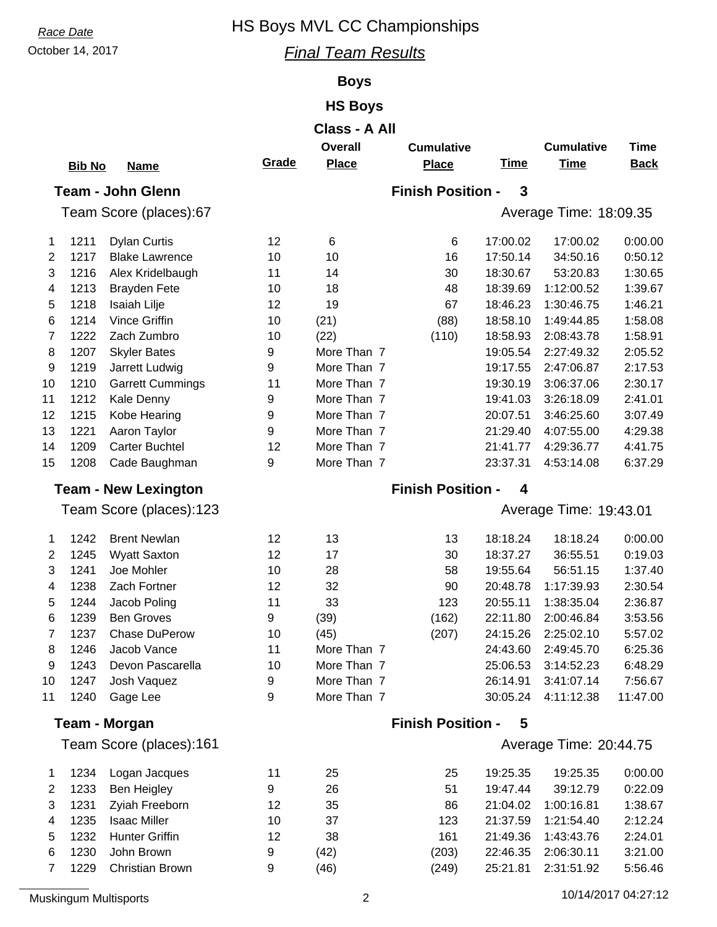# **Race Date HS Boys MVL CC Championships**

## October 14, 2017 *Final Team Results*

### **Boys**

## **HS Boys**

|    |               |                             |        | Class - A All       |                          |             |                          |                    |
|----|---------------|-----------------------------|--------|---------------------|--------------------------|-------------|--------------------------|--------------------|
|    |               |                             |        | <b>Overall</b>      | <b>Cumulative</b>        |             | <b>Cumulative</b>        | <b>Time</b>        |
|    | <b>Bib No</b> | <b>Name</b>                 | Grade  | <b>Place</b>        | <b>Place</b>             | <b>Time</b> | <b>Time</b>              | <b>Back</b>        |
|    |               | <b>Team - John Glenn</b>    |        |                     | <b>Finish Position -</b> | 3           |                          |                    |
|    |               | Team Score (places):67      |        |                     |                          |             | Average Time: 18:09.35   |                    |
|    |               |                             |        |                     |                          |             |                          |                    |
| 1  | 1211          | <b>Dylan Curtis</b>         | 12     | 6                   | 6                        | 17:00.02    | 17:00.02                 | 0:00.00            |
| 2  | 1217          | <b>Blake Lawrence</b>       | 10     | 10                  | 16                       | 17:50.14    | 34:50.16                 | 0:50.12            |
| 3  | 1216          | Alex Kridelbaugh            | 11     | 14                  | 30                       | 18:30.67    | 53:20.83                 | 1:30.65            |
| 4  | 1213          | <b>Brayden Fete</b>         | 10     | 18                  | 48                       | 18:39.69    | 1:12:00.52               | 1:39.67            |
| 5  | 1218          | Isaiah Lilje                | 12     | 19                  | 67                       | 18:46.23    | 1:30:46.75               | 1:46.21            |
| 6  | 1214          | <b>Vince Griffin</b>        | 10     | (21)                | (88)                     | 18:58.10    | 1:49:44.85               | 1:58.08            |
| 7  | 1222<br>1207  | Zach Zumbro                 | 10     | (22)<br>More Than 7 | (110)                    | 18:58.93    | 2:08:43.78               | 1:58.91            |
| 8  |               | <b>Skyler Bates</b>         | 9<br>9 | More Than 7         |                          | 19:05.54    | 2:27:49.32<br>2:47:06.87 | 2:05.52<br>2:17.53 |
| 9  | 1219<br>1210  | Jarrett Ludwig              |        |                     |                          | 19:17.55    |                          |                    |
| 10 |               | <b>Garrett Cummings</b>     | 11     | More Than 7         |                          | 19:30.19    | 3:06:37.06               | 2:30.17            |
| 11 | 1212          | Kale Denny                  | 9      | More Than 7         |                          | 19:41.03    | 3:26:18.09               | 2:41.01            |
| 12 | 1215          | Kobe Hearing                | 9      | More Than 7         |                          | 20:07.51    | 3:46:25.60               | 3:07.49            |
| 13 | 1221          | Aaron Taylor                | 9      | More Than 7         |                          | 21:29.40    | 4:07:55.00               | 4:29.38            |
| 14 | 1209          | <b>Carter Buchtel</b>       | 12     | More Than 7         |                          | 21:41.77    | 4:29:36.77               | 4:41.75            |
| 15 | 1208          | Cade Baughman               | 9      | More Than 7         |                          | 23:37.31    | 4:53:14.08               | 6:37.29            |
|    |               | <b>Team - New Lexington</b> |        |                     | <b>Finish Position -</b> | 4           |                          |                    |
|    |               | Team Score (places):123     |        |                     |                          |             | Average Time: 19:43.01   |                    |
| 1  | 1242          | <b>Brent Newlan</b>         | 12     | 13                  | 13                       | 18:18.24    | 18:18.24                 | 0:00.00            |
| 2  | 1245          | <b>Wyatt Saxton</b>         | 12     | 17                  | 30                       | 18:37.27    | 36:55.51                 | 0:19.03            |
| 3  | 1241          | Joe Mohler                  | 10     | 28                  | 58                       | 19:55.64    | 56:51.15                 | 1:37.40            |
| 4  | 1238          | Zach Fortner                | 12     | 32                  | 90                       | 20:48.78    | 1:17:39.93               | 2:30.54            |
| 5  | 1244          | Jacob Poling                | 11     | 33                  | 123                      | 20:55.11    | 1:38:35.04               | 2:36.87            |
| 6  | 1239          | <b>Ben Groves</b>           | 9      | (39)                | (162)                    | 22:11.80    | 2:00:46.84               | 3:53.56            |
| 7  | 1237          | Chase DuPerow               | 10     | (45)                | (207)                    | 24:15.26    | 2:25:02.10               | 5:57.02            |
| 8  | 1246          | Jacob Vance                 | 11     | More Than 7         |                          | 24:43.60    | 2:49:45.70               | 6:25.36            |
| 9  | 1243          | Devon Pascarella            | 10     | More Than 7         |                          | 25:06.53    | 3:14:52.23               | 6:48.29            |
| 10 | 1247          | Josh Vaquez                 | 9      | More Than 7         |                          | 26:14.91    | 3:41:07.14               | 7:56.67            |
| 11 | 1240          | Gage Lee                    | 9      | More Than 7         |                          | 30:05.24    | 4:11:12.38               | 11:47.00           |
|    |               | <b>Team - Morgan</b>        |        |                     | <b>Finish Position -</b> | 5           |                          |                    |
|    |               | Team Score (places):161     |        |                     |                          |             | Average Time: 20:44.75   |                    |
|    |               |                             |        |                     |                          |             |                          |                    |
| 1  | 1234          | Logan Jacques               | 11     | 25                  | 25                       | 19:25.35    | 19:25.35                 | 0:00.00            |
| 2  | 1233          | <b>Ben Heigley</b>          | 9      | 26                  | 51                       | 19:47.44    | 39:12.79                 | 0:22.09            |
| 3  | 1231          | Zyiah Freeborn              | 12     | 35                  | 86                       | 21:04.02    | 1:00:16.81               | 1:38.67            |
| 4  | 1235          | <b>Isaac Miller</b>         | 10     | 37                  | 123                      | 21:37.59    | 1:21:54.40               | 2:12.24            |
| 5  | 1232          | <b>Hunter Griffin</b>       | 12     | 38                  | 161                      | 21:49.36    | 1:43:43.76               | 2:24.01            |
| 6  | 1230          | John Brown                  | 9      | (42)                | (203)                    | 22:46.35    | 2:06:30.11               | 3:21.00            |

7 1229 Christian Brown 9 (46) (249) 25:21.81 2:31:51.92 5:56.46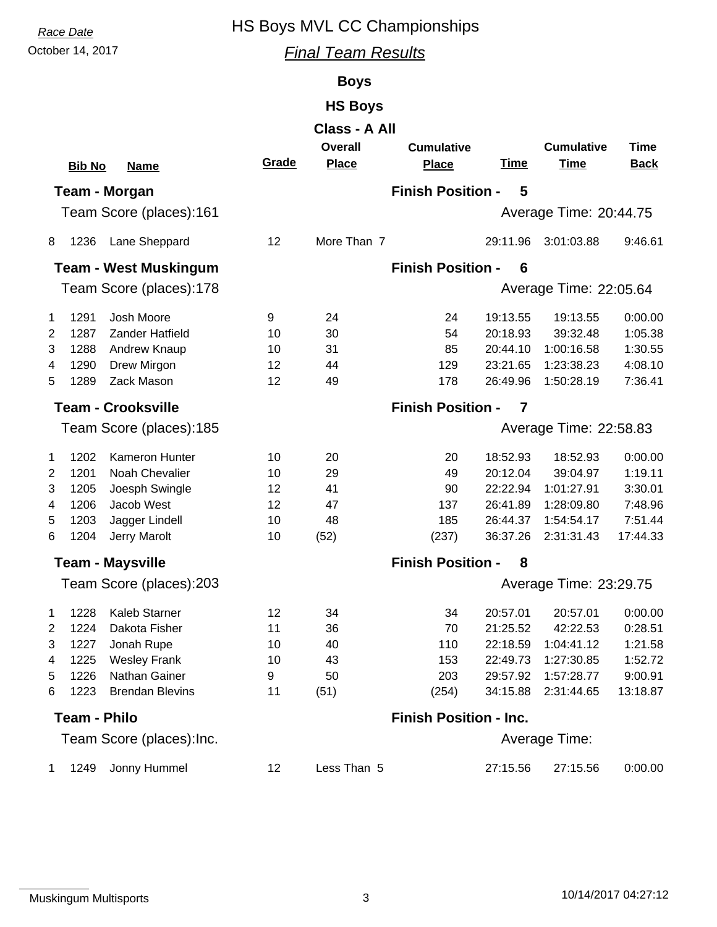# *Race Date* HS Boys MVL CC Championships

October 14, 2017 *Final Team Results*

## **Boys**

## **HS Boys**

|                | Class - A All       |                              |       |                                |                                   |                |                                  |                     |  |  |  |
|----------------|---------------------|------------------------------|-------|--------------------------------|-----------------------------------|----------------|----------------------------------|---------------------|--|--|--|
|                | <b>Bib No</b>       | <b>Name</b>                  | Grade | <b>Overall</b><br><b>Place</b> | <b>Cumulative</b><br><b>Place</b> | <b>Time</b>    | <b>Cumulative</b><br><b>Time</b> | Time<br><b>Back</b> |  |  |  |
|                |                     |                              |       |                                |                                   |                |                                  |                     |  |  |  |
|                |                     | Team - Morgan                |       |                                | <b>Finish Position -</b>          | 5              |                                  |                     |  |  |  |
|                |                     | Team Score (places):161      |       |                                |                                   |                | Average Time: 20:44.75           |                     |  |  |  |
| 8              | 1236                | Lane Sheppard                | 12    | More Than 7                    |                                   | 29:11.96       | 3:01:03.88                       | 9:46.61             |  |  |  |
|                |                     | <b>Team - West Muskingum</b> |       |                                | <b>Finish Position -</b>          | 6              |                                  |                     |  |  |  |
|                |                     | Team Score (places):178      |       |                                |                                   |                | Average Time: 22:05.64           |                     |  |  |  |
| 1              | 1291                | Josh Moore                   | 9     | 24                             | 24                                | 19:13.55       | 19:13.55                         | 0:00.00             |  |  |  |
| $\overline{2}$ | 1287                | Zander Hatfield              | 10    | 30                             | 54                                | 20:18.93       | 39:32.48                         | 1:05.38             |  |  |  |
| 3              | 1288                | Andrew Knaup                 | 10    | 31                             | 85                                | 20:44.10       | 1:00:16.58                       | 1:30.55             |  |  |  |
| 4              | 1290                | Drew Mirgon                  | 12    | 44                             | 129                               | 23:21.65       | 1:23:38.23                       | 4:08.10             |  |  |  |
| 5              | 1289                | Zack Mason                   | 12    | 49                             | 178                               | 26:49.96       | 1:50:28.19                       | 7:36.41             |  |  |  |
|                |                     | <b>Team - Crooksville</b>    |       |                                | <b>Finish Position -</b>          | $\overline{7}$ |                                  |                     |  |  |  |
|                |                     | Team Score (places):185      |       |                                | Average Time: 22:58.83            |                |                                  |                     |  |  |  |
| 1              | 1202                | <b>Kameron Hunter</b>        | 10    | 20                             | 20                                | 18:52.93       | 18:52.93                         | 0:00.00             |  |  |  |
| 2              | 1201                | Noah Chevalier               | 10    | 29                             | 49                                | 20:12.04       | 39:04.97                         | 1:19.11             |  |  |  |
| 3              | 1205                | Joesph Swingle               | 12    | 41                             | 90                                | 22:22.94       | 1:01:27.91                       | 3:30.01             |  |  |  |
| 4              | 1206                | Jacob West                   | 12    | 47                             | 137                               | 26:41.89       | 1:28:09.80                       | 7:48.96             |  |  |  |
| 5              | 1203                | Jagger Lindell               | 10    | 48                             | 185                               | 26:44.37       | 1:54:54.17                       | 7:51.44             |  |  |  |
| 6              | 1204                | Jerry Marolt                 | 10    | (52)                           | (237)                             | 36:37.26       | 2:31:31.43                       | 17:44.33            |  |  |  |
|                |                     | <b>Team - Maysville</b>      |       |                                | <b>Finish Position -</b>          | 8              |                                  |                     |  |  |  |
|                |                     | Team Score (places):203      |       |                                |                                   |                | Average Time: 23:29.75           |                     |  |  |  |
| 1              | 1228                | Kaleb Starner                | 12    | 34                             | 34                                | 20:57.01       | 20:57.01                         | 0:00.00             |  |  |  |
| $\overline{2}$ | 1224                | Dakota Fisher                | 11    | 36                             | 70                                | 21:25.52       | 42:22.53                         | 0:28.51             |  |  |  |
| 3              | 1227                | Jonah Rupe                   | 10    | 40                             | 110                               | 22:18.59       | 1:04:41.12                       | 1:21.58             |  |  |  |
| 4              | 1225                | <b>Wesley Frank</b>          | 10    | 43                             | 153                               | 22:49.73       | 1:27:30.85                       | 1:52.72             |  |  |  |
| 5              | 1226                | Nathan Gainer                | 9     | 50                             | 203                               | 29:57.92       | 1:57:28.77                       | 9:00.91             |  |  |  |
| 6              | 1223                | <b>Brendan Blevins</b>       | 11    | (51)                           | (254)                             | 34:15.88       | 2:31:44.65                       | 13:18.87            |  |  |  |
|                | <b>Team - Philo</b> |                              |       |                                | <b>Finish Position - Inc.</b>     |                |                                  |                     |  |  |  |
|                |                     | Team Score (places): Inc.    |       |                                |                                   |                | Average Time:                    |                     |  |  |  |
| $\mathbf{1}$   | 1249                | Jonny Hummel                 | 12    | Less Than 5                    |                                   | 27:15.56       | 27:15.56                         | 0:00.00             |  |  |  |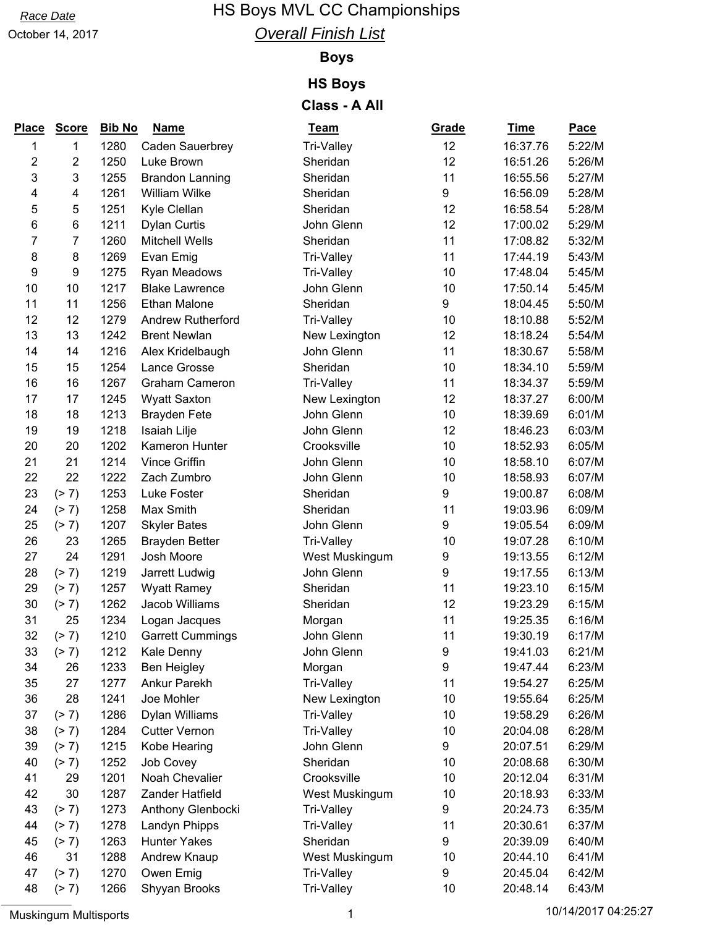## *Race Date* **HS Boys MVL CC Championships** *Overall Finish List*

October 14, 2017

## **Boys**

## **HS Boys**

| <b>Place</b> | <b>Score</b>     | <b>Bib No</b> | <b>Name</b>              | <u>Team</u>    | Grade | <b>Time</b> | <b>Pace</b> |
|--------------|------------------|---------------|--------------------------|----------------|-------|-------------|-------------|
| 1            | 1                | 1280          | Caden Sauerbrey          | Tri-Valley     | 12    | 16:37.76    | 5:22/M      |
| 2            | $\overline{2}$   | 1250          | Luke Brown               | Sheridan       | 12    | 16:51.26    | 5:26/M      |
| 3            | 3                | 1255          | <b>Brandon Lanning</b>   | Sheridan       | 11    | 16:55.56    | 5:27/M      |
| 4            | 4                | 1261          | William Wilke            | Sheridan       | 9     | 16:56.09    | 5:28/M      |
| 5            | 5                | 1251          | Kyle Clellan             | Sheridan       | 12    | 16:58.54    | 5:28/M      |
| 6            | 6                | 1211          | <b>Dylan Curtis</b>      | John Glenn     | 12    | 17:00.02    | 5:29/M      |
| 7            | 7                | 1260          | <b>Mitchell Wells</b>    | Sheridan       | 11    | 17:08.82    | 5:32/M      |
| 8            | 8                | 1269          | Evan Emig                | Tri-Valley     | 11    | 17:44.19    | 5:43/M      |
| 9            | $\boldsymbol{9}$ | 1275          | Ryan Meadows             | Tri-Valley     | 10    | 17:48.04    | 5:45/M      |
| 10           | 10               | 1217          | <b>Blake Lawrence</b>    | John Glenn     | 10    | 17:50.14    | 5:45/M      |
| 11           | 11               | 1256          | <b>Ethan Malone</b>      | Sheridan       | 9     | 18:04.45    | 5:50/M      |
| 12           | 12               | 1279          | <b>Andrew Rutherford</b> | Tri-Valley     | 10    | 18:10.88    | 5:52/M      |
| 13           | 13               | 1242          | <b>Brent Newlan</b>      | New Lexington  | 12    | 18:18.24    | 5:54/M      |
| 14           | 14               | 1216          | Alex Kridelbaugh         | John Glenn     | 11    | 18:30.67    | 5:58/M      |
| 15           | 15               | 1254          | Lance Grosse             | Sheridan       | 10    | 18:34.10    | 5:59/M      |
| 16           | 16               | 1267          | <b>Graham Cameron</b>    | Tri-Valley     | 11    | 18:34.37    | 5:59/M      |
| 17           | 17               | 1245          | <b>Wyatt Saxton</b>      | New Lexington  | 12    | 18:37.27    | 6:00/M      |
| 18           | 18               | 1213          | <b>Brayden Fete</b>      | John Glenn     | 10    | 18:39.69    | 6:01/M      |
| 19           | 19               | 1218          | Isaiah Lilje             | John Glenn     | 12    | 18:46.23    | 6:03/M      |
| 20           | 20               | 1202          | Kameron Hunter           | Crooksville    | 10    | 18:52.93    | 6:05/M      |
| 21           | 21               | 1214          | <b>Vince Griffin</b>     | John Glenn     | 10    | 18:58.10    | 6:07/M      |
| 22           | 22               | 1222          | Zach Zumbro              | John Glenn     | 10    | 18:58.93    | 6:07/M      |
| 23           | ( > 7)           | 1253          | Luke Foster              | Sheridan       | 9     | 19:00.87    | 6:08/M      |
| 24           | (2 7)            | 1258          | Max Smith                | Sheridan       | 11    | 19:03.96    | 6:09/M      |
| 25           | (2 7)            | 1207          | <b>Skyler Bates</b>      | John Glenn     | 9     | 19:05.54    | 6:09/M      |
| 26           | 23               | 1265          | <b>Brayden Better</b>    | Tri-Valley     | 10    | 19:07.28    | 6:10/M      |
| 27           | 24               | 1291          | Josh Moore               | West Muskingum | 9     | 19:13.55    | 6:12/M      |
| 28           | (2 7)            | 1219          | Jarrett Ludwig           | John Glenn     | 9     | 19:17.55    | 6:13/M      |
| 29           | (2 7)            | 1257          | <b>Wyatt Ramey</b>       | Sheridan       | 11    | 19:23.10    | 6:15/M      |
| 30           | (2 7)            | 1262          | Jacob Williams           | Sheridan       | 12    | 19:23.29    | 6:15/M      |
| 31           | 25               | 1234          | Logan Jacques            | Morgan         | 11    | 19:25.35    | 6:16/M      |
| 32           | (2 7)            | 1210          | <b>Garrett Cummings</b>  | John Glenn     | 11    | 19:30.19    | 6:17/M      |
| 33           | (2 7)            | 1212          | Kale Denny               | John Glenn     | 9     | 19:41.03    | 6:21/M      |
| 34           | 26               | 1233          | <b>Ben Heigley</b>       | Morgan         | 9     | 19:47.44    | 6:23/M      |
| 35           | 27               | 1277          | Ankur Parekh             | Tri-Valley     | 11    | 19:54.27    | 6:25/M      |
| 36           | 28               | 1241          | Joe Mohler               | New Lexington  | 10    | 19:55.64    | 6:25/M      |
| 37           | (2 7)            | 1286          | Dylan Williams           | Tri-Valley     | 10    | 19:58.29    | 6:26/M      |
| 38           | (2 7)            | 1284          | <b>Cutter Vernon</b>     | Tri-Valley     | 10    | 20:04.08    | 6:28/M      |
| 39           | (2 7)            | 1215          | Kobe Hearing             | John Glenn     | 9     | 20:07.51    | 6:29/M      |
| 40           | (2 7)            | 1252          | Job Covey                | Sheridan       | 10    | 20:08.68    | 6:30/M      |
| 41           | 29               | 1201          | Noah Chevalier           | Crooksville    | 10    | 20:12.04    | 6:31/M      |
| 42           | 30               | 1287          | Zander Hatfield          | West Muskingum | 10    | 20:18.93    | 6:33/M      |
| 43           | (2 7)            | 1273          | Anthony Glenbocki        | Tri-Valley     | 9     | 20:24.73    | 6:35/M      |
| 44           | (2 7)            | 1278          | Landyn Phipps            | Tri-Valley     | 11    | 20:30.61    | 6:37/M      |
| 45           | (2 7)            | 1263          | <b>Hunter Yakes</b>      | Sheridan       | 9     | 20:39.09    | 6:40/M      |
| 46           | 31               | 1288          | Andrew Knaup             | West Muskingum | 10    | 20:44.10    | 6:41/M      |
| 47           | (2 7)            | 1270          | Owen Emig                | Tri-Valley     | 9     | 20:45.04    | 6:42/M      |
| 48           | (2 7)            | 1266          | Shyyan Brooks            | Tri-Valley     | 10    | 20:48.14    | 6:43/M      |